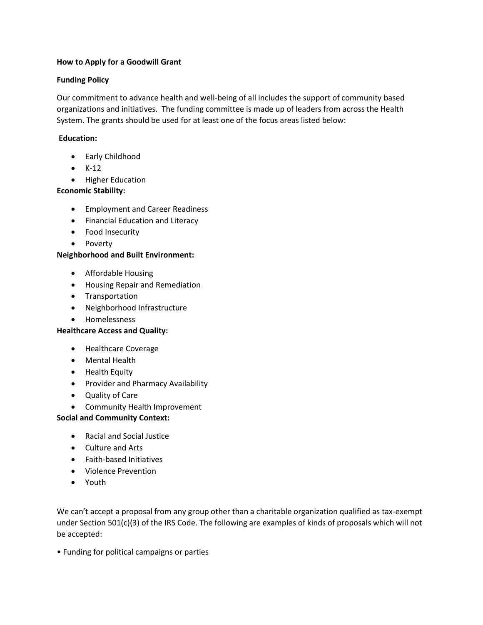### **How to Apply for a Goodwill Grant**

## **Funding Policy**

Our commitment to advance health and well-being of all includes the support of community based organizations and initiatives. The funding committee is made up of leaders from across the Health System. The grants should be used for at least one of the focus areas listed below:

# **Education:**

- Early Childhood
- $\bullet$  K-12
- **•** Higher Education

## **Economic Stability:**

- **•** Employment and Career Readiness
- Financial Education and Literacy
- Food Insecurity
- Poverty

## **Neighborhood and Built Environment:**

- Affordable Housing
- Housing Repair and Remediation
- **•** Transportation
- Neighborhood Infrastructure
- Homelessness

#### **Healthcare Access and Quality:**

- Healthcare Coverage
- Mental Health
- Health Equity
- Provider and Pharmacy Availability
- Quality of Care
- Community Health Improvement

#### **Social and Community Context:**

- Racial and Social Justice
- Culture and Arts
- Faith-based Initiatives
- Violence Prevention
- Youth

We can't accept a proposal from any group other than a charitable organization qualified as tax-exempt under Section 501(c)(3) of the IRS Code. The following are examples of kinds of proposals which will not be accepted:

• Funding for political campaigns or parties